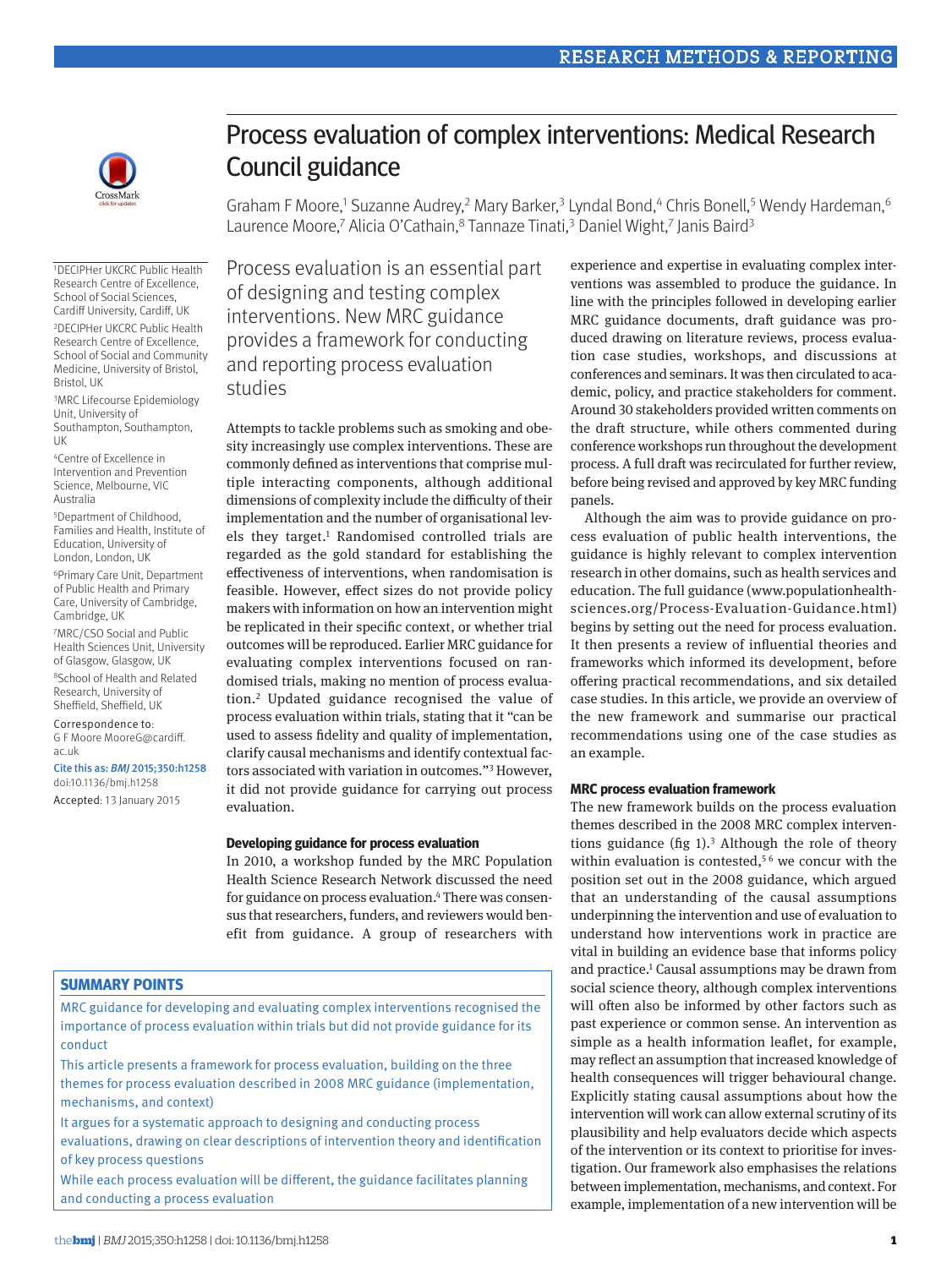

1DECIPHer UKCRC Public Health Research Centre of Excellence, School of Social Sciences, Cardiff University, Cardiff, UK

2DECIPHer UKCRC Public Health Research Centre of Excellence, School of Social and Community Medicine, University of Bristol, Bristol, UK

3MRC Lifecourse Epidemiology Unit, University of Southampton, Southampton, UK

4Centre of Excellence in Intervention and Prevention Science, Melbourne, VIC Australia

5Department of Childhood, Families and Health, Institute of Education, University of London, London, UK

6Primary Care Unit, Department of Public Health and Primary Care, University of Cambridge, Cambridge, UK

7 MRC/CSO Social and Public Health Sciences Unit, University of Glasgow, Glasgow, UK

8School of Health and Related Research, University of Sheffield, Sheffield, UK Correspondence to:

G F Moore MooreG@cardiff. ac.uk

#### Cite this as: BMJ 2015;350:h1258 doi:10.1136/bmj.h1258

Accepted: 13 January 2015

# Process evaluation of complex interventions: Medical Research Council guidance

Graham F Moore,<sup>1</sup> Suzanne Audrey,<sup>2</sup> Mary Barker,<sup>3</sup> Lyndal Bond,<sup>4</sup> Chris Bonell,<sup>5</sup> Wendy Hardeman,<sup>6</sup> Laurence Moore,<sup>7</sup> Alicia O'Cathain,<sup>8</sup> Tannaze Tinati,<sup>3</sup> Daniel Wight,<sup>7</sup> Janis Baird<sup>3</sup>

Process evaluation is an essential part of designing and testing complex interventions. New MRC guidance provides a framework for conducting and reporting process evaluation studies

Attempts to tackle problems such as smoking and obesity increasingly use complex interventions. These are commonly defined as interventions that comprise multiple interacting components, although additional dimensions of complexity include the difficulty of their implementation and the number of organisational levels they target.<sup>1</sup> Randomised controlled trials are regarded as the gold standard for establishing the effectiveness of interventions, when randomisation is feasible. However, effect sizes do not provide policy makers with information on how an intervention might be replicated in their specific context, or whether trial outcomes will be reproduced. Earlier MRC guidance for evaluating complex interventions focused on randomised trials, making no mention of process evaluation.2 Updated guidance recognised the value of process evaluation within trials, stating that it "can be used to assess fidelity and quality of implementation, clarify causal mechanisms and identify contextual factors associated with variation in outcomes."3 However, it did not provide guidance for carrying out process evaluation.

### **Developing guidance for process evaluation**

In 2010, a workshop funded by the MRC Population Health Science Research Network discussed the need for guidance on process evaluation.4 There was consensus that researchers, funders, and reviewers would benefit from guidance. A group of researchers with

## **Summary points**

MRC guidance for developing and evaluating complex interventions recognised the importance of process evaluation within trials but did not provide guidance for its conduct

This article presents a framework for process evaluation, building on the three themes for process evaluation described in 2008 MRC guidance (implementation, mechanisms, and context)

It argues for a systematic approach to designing and conducting process evaluations, drawing on clear descriptions of intervention theory and identification of key process questions

While each process evaluation will be different, the guidance facilitates planning and conducting a process evaluation

experience and expertise in evaluating complex interventions was assembled to produce the guidance. In line with the principles followed in developing earlier MRC guidance documents, draft guidance was produced drawing on literature reviews, process evaluation case studies, workshops, and discussions at conferences and seminars. It was then circulated to academic, policy, and practice stakeholders for comment. Around 30 stakeholders provided written comments on the draft structure, while others commented during conference workshops run throughout the development process. A full draft was recirculated for further review, before being revised and approved by key MRC funding panels.

Although the aim was to provide guidance on process evaluation of public health interventions, the guidance is highly relevant to complex intervention research in other domains, such as health services and education. The full guidance (www.populationhealthsciences.org/Process-Evaluation-Guidance.html) begins by setting out the need for process evaluation. It then presents a review of influential theories and frameworks which informed its development, before offering practical recommendations, and six detailed case studies. In this article, we provide an overview of the new framework and summarise our practical recommendations using one of the case studies as an example.

## **MRC process evaluation framework**

The new framework builds on the process evaluation themes described in the 2008 MRC complex interventions guidance (fig  $1$ ).<sup>3</sup> Although the role of theory within evaluation is contested,<sup>56</sup> we concur with the position set out in the 2008 guidance, which argued that an understanding of the causal assumptions underpinning the intervention and use of evaluation to understand how interventions work in practice are vital in building an evidence base that informs policy and practice.<sup>1</sup> Causal assumptions may be drawn from social science theory, although complex interventions will often also be informed by other factors such as past experience or common sense. An intervention as simple as a health information leaflet, for example, may reflect an assumption that increased knowledge of health consequences will trigger behavioural change. Explicitly stating causal assumptions about how the intervention will work can allow external scrutiny of its plausibility and help evaluators decide which aspects of the intervention or its context to prioritise for investigation. Our framework also emphasises the relations between implementation, mechanisms, and context. For example, implementation of a new intervention will be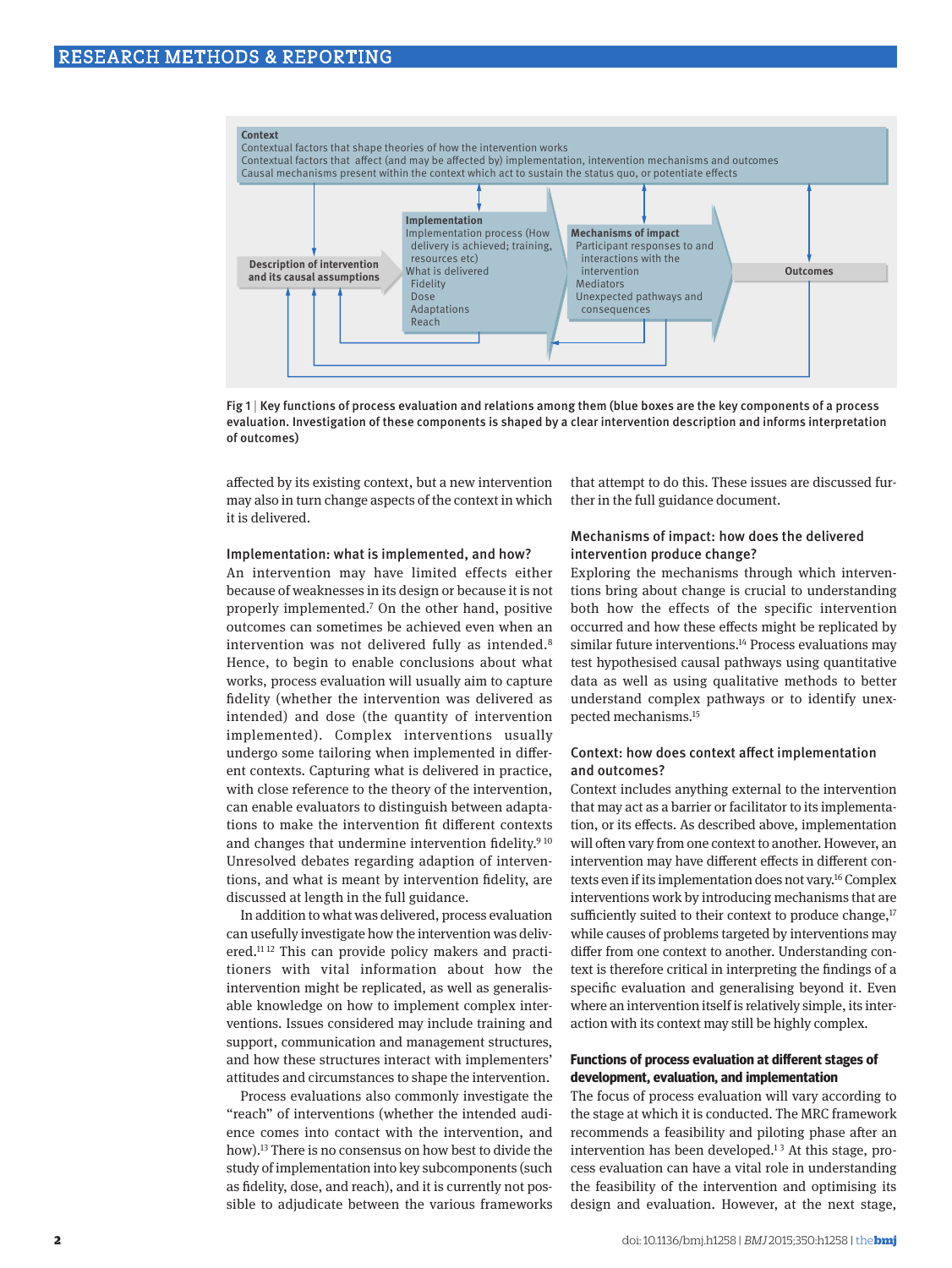

<span id="page-1-0"></span>Fig 1 | Key functions of process evaluation and relations among them (blue boxes are the key components of a process evaluation. Investigation of these components is shaped by a clear intervention description and informs interpretation of outcomes)

affected by its existing context, but a new intervention may also in turn change aspects of the context in which it is delivered.

#### Implementation: what is implemented, and how?

An intervention may have limited effects either because of weaknesses in its design or because it is not properly implemented.7 On the other hand, positive outcomes can sometimes be achieved even when an intervention was not delivered fully as intended.8 Hence, to begin to enable conclusions about what works, process evaluation will usually aim to capture fidelity (whether the intervention was delivered as intended) and dose (the quantity of intervention implemented). Complex interventions usually undergo some tailoring when implemented in different contexts. Capturing what is delivered in practice, with close reference to the theory of the intervention, can enable evaluators to distinguish between adaptations to make the intervention fit different contexts and changes that undermine intervention fidelity.<sup>910</sup> Unresolved debates regarding adaption of interventions, and what is meant by intervention fidelity, are discussed at length in the full guidance.

In addition to what was delivered, process evaluation can usefully investigate how the intervention was delivered.11 12 This can provide policy makers and practitioners with vital information about how the intervention might be replicated, as well as generalisable knowledge on how to implement complex interventions. Issues considered may include training and support, communication and management structures, and how these structures interact with implementers' attitudes and circumstances to shape the intervention.

Process evaluations also commonly investigate the "reach" of interventions (whether the intended audience comes into contact with the intervention, and how).13 There is no consensus on how best to divide the study of implementation into key subcomponents (such as fidelity, dose, and reach), and it is currently not possible to adjudicate between the various frameworks that attempt to do this. These issues are discussed further in the full guidance document.

## Mechanisms of impact: how does the delivered intervention produce change?

Exploring the mechanisms through which interventions bring about change is crucial to understanding both how the effects of the specific intervention occurred and how these effects might be replicated by similar future interventions.<sup>14</sup> Process evaluations may test hypothesised causal pathways using quantitative data as well as using qualitative methods to better understand complex pathways or to identify unexpected mechanisms.15

## Context: how does context affect implementation and outcomes?

Context includes anything external to the intervention that may act as a barrier or facilitator to its implementation, or its effects. As described above, implementation will often vary from one context to another. However, an intervention may have different effects in different contexts even if its implementation does not vary.16 Complex interventions work by introducing mechanisms that are sufficiently suited to their context to produce change,<sup>17</sup> while causes of problems targeted by interventions may differ from one context to another. Understanding context is therefore critical in interpreting the findings of a specific evaluation and generalising beyond it. Even where an intervention itself is relatively simple, its interaction with its context may still be highly complex.

## **Functions of process evaluation at different stages of development, evaluation, and implementation**

The focus of process evaluation will vary according to the stage at which it is conducted. The MRC framework recommends a feasibility and piloting phase after an intervention has been developed.<sup>13</sup> At this stage, process evaluation can have a vital role in understanding the feasibility of the intervention and optimising its design and evaluation. However, at the next stage,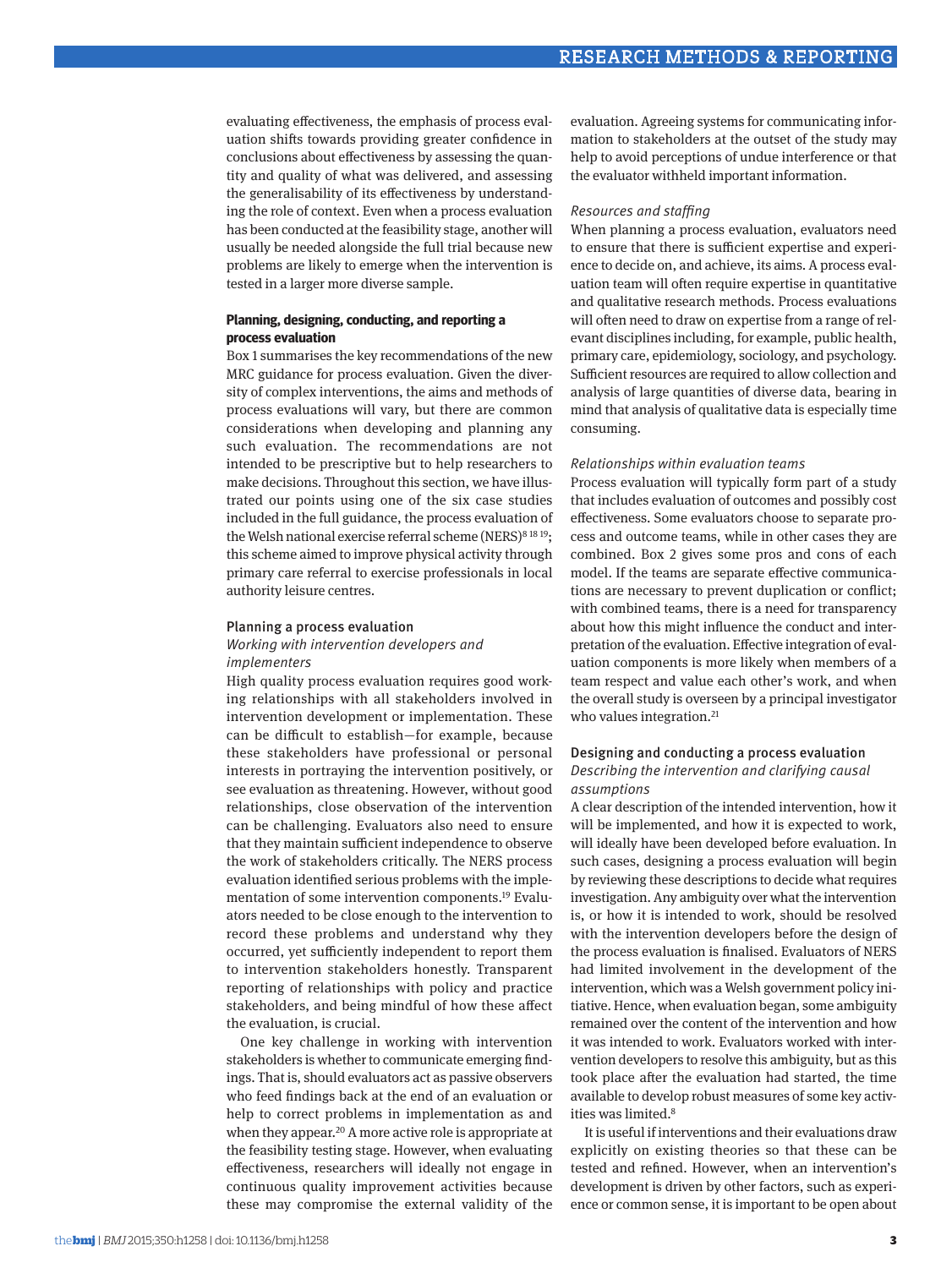evaluating effectiveness, the emphasis of process evaluation shifts towards providing greater confidence in conclusions about effectiveness by assessing the quantity and quality of what was delivered, and assessing the generalisability of its effectiveness by understanding the role of context. Even when a process evaluation has been conducted at the feasibility stage, another will usually be needed alongside the full trial because new problems are likely to emerge when the intervention is tested in a larger more diverse sample.

## **Planning, designing, conducting, and reporting a process evaluation**

Box 1 summarises the key recommendations of the new MRC guidance for process evaluation. Given the diversity of complex interventions, the aims and methods of process evaluations will vary, but there are common considerations when developing and planning any such evaluation. The recommendations are not intended to be prescriptive but to help researchers to make decisions. Throughout this section, we have illustrated our points using one of the six case studies included in the full guidance, the process evaluation of the Welsh national exercise referral scheme (NERS)<sup>8 18 19</sup>; this scheme aimed to improve physical activity through primary care referral to exercise professionals in local authority leisure centres.

#### Planning a process evaluation

## Working with intervention developers and implementers

High quality process evaluation requires good working relationships with all stakeholders involved in intervention development or implementation. These can be difficult to establish—for example, because these stakeholders have professional or personal interests in portraying the intervention positively, or see evaluation as threatening. However, without good relationships, close observation of the intervention can be challenging. Evaluators also need to ensure that they maintain sufficient independence to observe the work of stakeholders critically. The NERS process evaluation identified serious problems with the implementation of some intervention components.19 Evaluators needed to be close enough to the intervention to record these problems and understand why they occurred, yet sufficiently independent to report them to intervention stakeholders honestly. Transparent reporting of relationships with policy and practice stakeholders, and being mindful of how these affect the evaluation, is crucial.

One key challenge in working with intervention stakeholders is whether to communicate emerging findings. That is, should evaluators act as passive observers who feed findings back at the end of an evaluation or help to correct problems in implementation as and when they appear.<sup>20</sup> A more active role is appropriate at the feasibility testing stage. However, when evaluating effectiveness, researchers will ideally not engage in continuous quality improvement activities because these may compromise the external validity of the evaluation. Agreeing systems for communicating information to stakeholders at the outset of the study may help to avoid perceptions of undue interference or that the evaluator withheld important information.

#### Resources and staffing

When planning a process evaluation, evaluators need to ensure that there is sufficient expertise and experience to decide on, and achieve, its aims. A process evaluation team will often require expertise in quantitative and qualitative research methods. Process evaluations will often need to draw on expertise from a range of relevant disciplines including, for example, public health, primary care, epidemiology, sociology, and psychology. Sufficient resources are required to allow collection and analysis of large quantities of diverse data, bearing in mind that analysis of qualitative data is especially time consuming.

#### Relationships within evaluation teams

Process evaluation will typically form part of a study that includes evaluation of outcomes and possibly cost effectiveness. Some evaluators choose to separate process and outcome teams, while in other cases they are combined. Box 2 gives some pros and cons of each model. If the teams are separate effective communications are necessary to prevent duplication or conflict; with combined teams, there is a need for transparency about how this might influence the conduct and interpretation of the evaluation. Effective integration of evaluation components is more likely when members of a team respect and value each other's work, and when the overall study is overseen by a principal investigator who values integration.<sup>21</sup>

## Designing and conducting a process evaluation Describing the intervention and clarifying causal assumptions

A clear description of the intended intervention, how it will be implemented, and how it is expected to work, will ideally have been developed before evaluation. In such cases, designing a process evaluation will begin by reviewing these descriptions to decide what requires investigation. Any ambiguity over what the intervention is, or how it is intended to work, should be resolved with the intervention developers before the design of the process evaluation is finalised. Evaluators of NERS had limited involvement in the development of the intervention, which was a Welsh government policy initiative. Hence, when evaluation began, some ambiguity remained over the content of the intervention and how it was intended to work. Evaluators worked with intervention developers to resolve this ambiguity, but as this took place after the evaluation had started, the time available to develop robust measures of some key activities was limited.8

It is useful if interventions and their evaluations draw explicitly on existing theories so that these can be tested and refined. However, when an intervention's development is driven by other factors, such as experience or common sense, it is important to be open about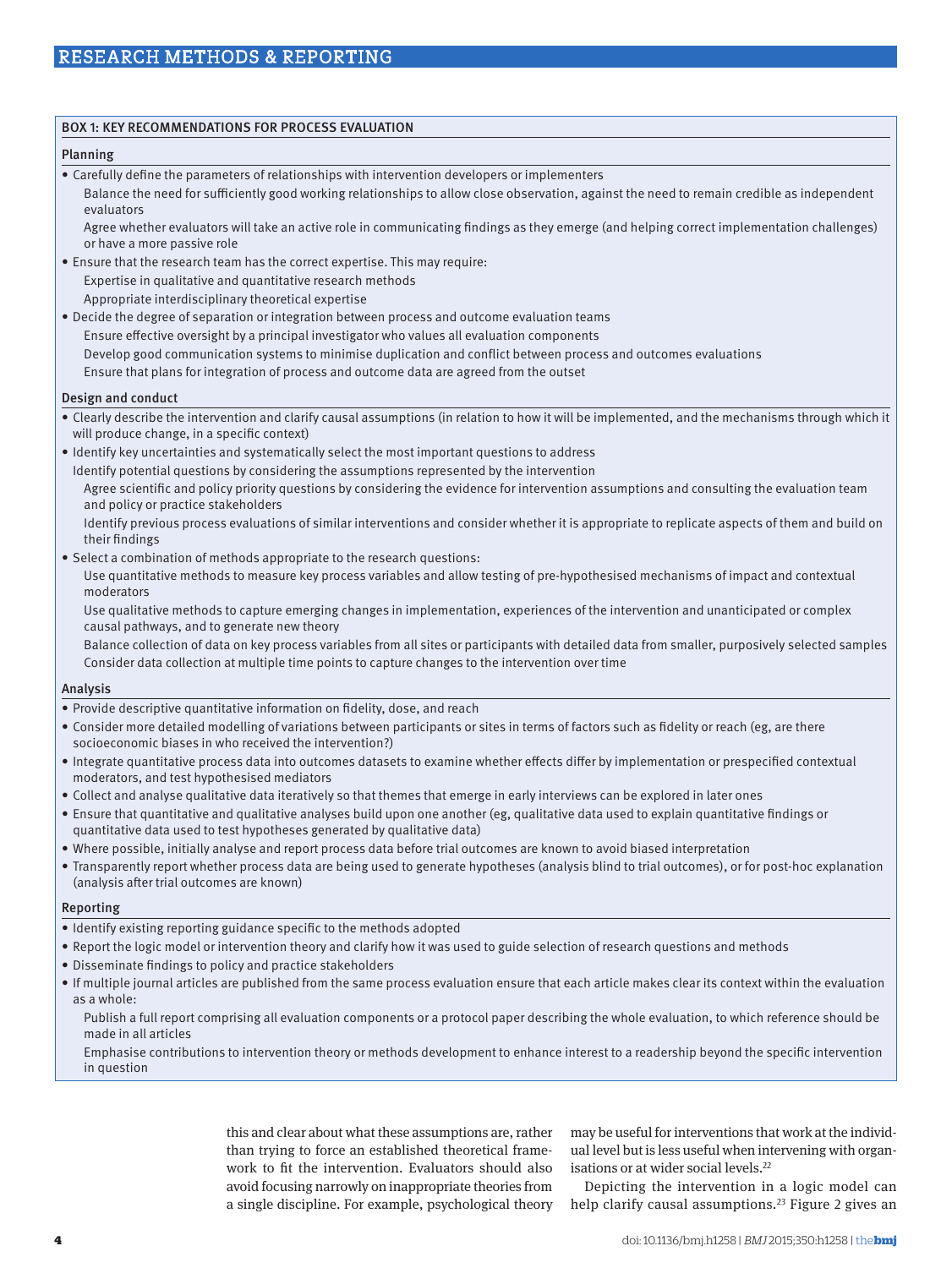| <b>BOX 1: KEY RECOMMENDATIONS FOR PROCESS EVALUATION</b>                                                                                                                                                              |
|-----------------------------------------------------------------------------------------------------------------------------------------------------------------------------------------------------------------------|
| Planning                                                                                                                                                                                                              |
| • Carefully define the parameters of relationships with intervention developers or implementers                                                                                                                       |
| Balance the need for sufficiently good working relationships to allow close observation, against the need to remain credible as independent<br>evaluators                                                             |
| Agree whether evaluators will take an active role in communicating findings as they emerge (and helping correct implementation challenges)<br>or have a more passive role                                             |
| • Ensure that the research team has the correct expertise. This may require:                                                                                                                                          |
| Expertise in qualitative and quantitative research methods                                                                                                                                                            |
| Appropriate interdisciplinary theoretical expertise                                                                                                                                                                   |
| . Decide the degree of separation or integration between process and outcome evaluation teams                                                                                                                         |
| Ensure effective oversight by a principal investigator who values all evaluation components                                                                                                                           |
| Develop good communication systems to minimise duplication and conflict between process and outcomes evaluations<br>Ensure that plans for integration of process and outcome data are agreed from the outset          |
| Design and conduct                                                                                                                                                                                                    |
| • Clearly describe the intervention and clarify causal assumptions (in relation to how it will be implemented, and the mechanisms through which it<br>will produce change, in a specific context)                     |
| . Identify key uncertainties and systematically select the most important questions to address                                                                                                                        |
| Identify potential questions by considering the assumptions represented by the intervention                                                                                                                           |
| Agree scientific and policy priority questions by considering the evidence for intervention assumptions and consulting the evaluation team<br>and policy or practice stakeholders                                     |
| Identify previous process evaluations of similar interventions and consider whether it is appropriate to replicate aspects of them and build on<br>their findings                                                     |
| • Select a combination of methods appropriate to the research questions:                                                                                                                                              |
| Use quantitative methods to measure key process variables and allow testing of pre-hypothesised mechanisms of impact and contextual<br>moderators                                                                     |
| Use qualitative methods to capture emerging changes in implementation, experiences of the intervention and unanticipated or complex<br>causal pathways, and to generate new theory                                    |
| Balance collection of data on key process variables from all sites or participants with detailed data from smaller, purposively selected samples                                                                      |
| Consider data collection at multiple time points to capture changes to the intervention over time                                                                                                                     |
| Analysis                                                                                                                                                                                                              |
| · Provide descriptive quantitative information on fidelity, dose, and reach                                                                                                                                           |
| · Consider more detailed modelling of variations between participants or sites in terms of factors such as fidelity or reach (eg, are there<br>socioeconomic biases in who received the intervention?)                |
| • Integrate quantitative process data into outcomes datasets to examine whether effects differ by implementation or prespecified contextual<br>moderators, and test hypothesised mediators                            |
| . Collect and analyse qualitative data iteratively so that themes that emerge in early interviews can be explored in later ones                                                                                       |
| . Ensure that quantitative and qualitative analyses build upon one another (eg, qualitative data used to explain quantitative findings or<br>quantitative data used to test hypotheses generated by qualitative data) |
| . Where possible, initially analyse and report process data before trial outcomes are known to avoid biased interpretation                                                                                            |
| • Transparently report whether process data are being used to generate hypotheses (analysis blind to trial outcomes), or for post-hoc explanation<br>(analysis after trial outcomes are known)                        |
| Reporting                                                                                                                                                                                                             |
| · Identify existing reporting guidance specific to the methods adopted                                                                                                                                                |
| . Report the logic model or intervention theory and clarify how it was used to guide selection of research questions and methods<br>· Disseminate findings to policy and practice stakeholders                        |
| . If multiple journal articles are published from the same process evaluation ensure that each article makes clear its context within the evaluation<br>as a whole:                                                   |
| Publish a full report comprising all evaluation components or a protocol paper describing the whole evaluation, to which reference should be<br>made in all articles                                                  |

Emphasise contributions to intervention theory or methods development to enhance interest to a readership beyond the specific intervention in question

> this and clear about what these assumptions are, rather than trying to force an established theoretical framework to fit the intervention. Evaluators should also avoid focusing narrowly on inappropriate theories from a single discipline. For example, psychological theory

may be useful for interventions that work at the individual level but is less useful when intervening with organisations or at wider social levels.<sup>22</sup>

Depicting the intervention in a logic model can help clarify causal assumptions.<sup>[2](#page-4-0)3</sup> Figure 2 gives an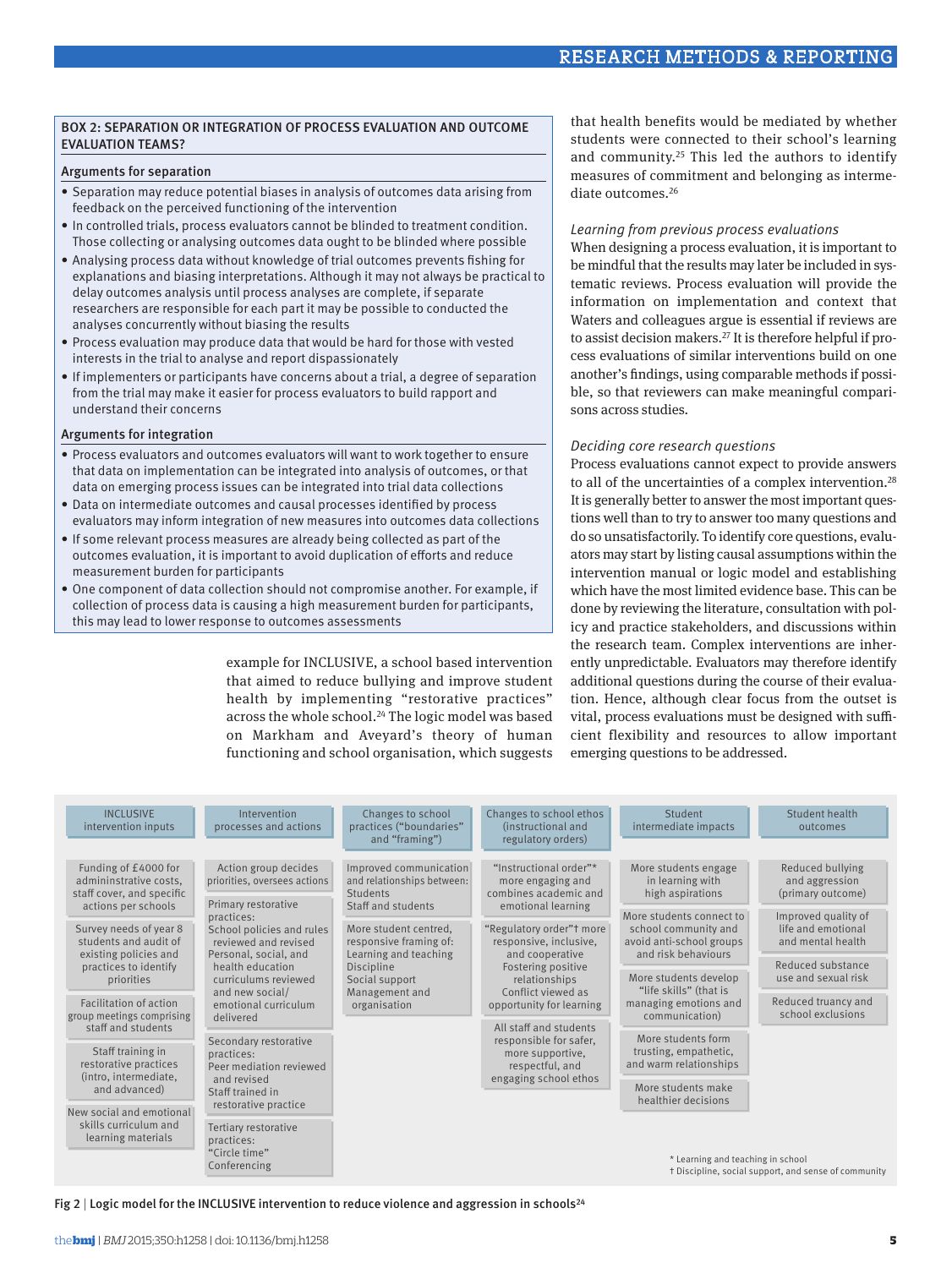## Box 2: Separation or integration of process evaluation and outcome evaluation teams?

#### Arguments for separation

- Separation may reduce potential biases in analysis of outcomes data arising from feedback on the perceived functioning of the intervention
- $\bullet$  In controlled trials, process evaluators cannot be blinded to treatment condition. Those collecting or analysing outcomes data ought to be blinded where possible
- • Analysing process data without knowledge of trial outcomes prevents fishing for explanations and biasing interpretations. Although it may not always be practical to delay outcomes analysis until process analyses are complete, if separate researchers are responsible for each part it may be possible to conducted the analyses concurrently without biasing the results
- Process evaluation may produce data that would be hard for those with vested interests in the trial to analyse and report dispassionately
- If implementers or participants have concerns about a trial, a degree of separation from the trial may make it easier for process evaluators to build rapport and understand their concerns

### Arguments for integration

- • Process evaluators and outcomes evaluators will want to work together to ensure that data on implementation can be integrated into analysis of outcomes, or that data on emerging process issues can be integrated into trial data collections
- • Data on intermediate outcomes and causal processes identified by process evaluators may inform integration of new measures into outcomes data collections
- • If some relevant process measures are already being collected as part of the outcomes evaluation, it is important to avoid duplication of efforts and reduce measurement burden for participants
- • One component of data collection should not compromise another. For example, if collection of process data is causing a high measurement burden for participants, this may lead to lower response to outcomes assessments

example for INCLUSIVE, a school based intervention that aimed to reduce bullying and improve student health by implementing "restorative practices" across the whole school.<sup>24</sup> The logic model was based on Markham and Aveyard's theory of human functioning and school organisation, which suggests

that health benefits would be mediated by whether students were connected to their school's learning and community.25 This led the authors to identify measures of commitment and belonging as intermediate outcomes.26

## Learning from previous process evaluations

When designing a process evaluation, it is important to be mindful that the results may later be included in systematic reviews. Process evaluation will provide the information on implementation and context that Waters and colleagues argue is essential if reviews are to assist decision makers.27 It is therefore helpful if process evaluations of similar interventions build on one another's findings, using comparable methods if possible, so that reviewers can make meaningful comparisons across studies.

## Deciding core research questions

Process evaluations cannot expect to provide answers to all of the uncertainties of a complex intervention.28 It is generally better to answer the most important questions well than to try to answer too many questions and do so unsatisfactorily. To identify core questions, evaluators may start by listing causal assumptions within the intervention manual or logic model and establishing which have the most limited evidence base. This can be done by reviewing the literature, consultation with policy and practice stakeholders, and discussions within the research team. Complex interventions are inherently unpredictable. Evaluators may therefore identify additional questions during the course of their evaluation. Hence, although clear focus from the outset is vital, process evaluations must be designed with sufficient flexibility and resources to allow important emerging questions to be addressed.

| <b>INCLUSIVE</b><br>intervention inputs                                                            | Intervention<br>processes and actions                                                                                                                                                                                            | Changes to school<br>practices ("boundaries"<br>and "framing")                                                                                    | Changes to school ethos<br>(instructional and<br>regulatory orders)                                                                                                                                                                                                                | Student<br>intermediate impacts                                                                     | Student health<br>outcomes                                     |
|----------------------------------------------------------------------------------------------------|----------------------------------------------------------------------------------------------------------------------------------------------------------------------------------------------------------------------------------|---------------------------------------------------------------------------------------------------------------------------------------------------|------------------------------------------------------------------------------------------------------------------------------------------------------------------------------------------------------------------------------------------------------------------------------------|-----------------------------------------------------------------------------------------------------|----------------------------------------------------------------|
| Funding of £4000 for<br>admininstrative costs.<br>staff cover, and specific<br>actions per schools | Action group decides<br>priorities, oversees actions<br>Primary restorative<br>practices:<br>School policies and rules<br>reviewed and revised<br>Personal, social, and                                                          | Improved communication<br>and relationships between:<br><b>Students</b><br>Staff and students                                                     | "Instructional order"*<br>more engaging and<br>combines academic and<br>emotional learning                                                                                                                                                                                         | More students engage<br>in learning with<br>high aspirations                                        | Reduced bullying<br>and aggression<br>(primary outcome)        |
| Survey needs of year 8<br>students and audit of<br>existing policies and                           |                                                                                                                                                                                                                                  | More student centred.<br>responsive framing of:<br>Learning and teaching<br><b>Discipline</b><br>Social support<br>Management and<br>organisation | "Regulatory order"t more<br>responsive, inclusive,<br>and cooperative<br>Fostering positive<br>relationships<br>Conflict viewed as<br>opportunity for learning<br>All staff and students<br>responsible for safer,<br>more supportive,<br>respectful, and<br>engaging school ethos | More students connect to<br>school community and<br>avoid anti-school groups<br>and risk behaviours | Improved quality of<br>life and emotional<br>and mental health |
| practices to identify<br>priorities                                                                | health education<br>curriculums reviewed                                                                                                                                                                                         |                                                                                                                                                   |                                                                                                                                                                                                                                                                                    | More students develop<br>"life skills" (that is<br>managing emotions and<br>communication)          | Reduced substance<br>use and sexual risk                       |
| Facilitation of action<br>group meetings comprising                                                | and new social/<br>emotional curriculum<br>delivered<br>staff and students<br>Secondary restorative<br>practices:<br>Peer mediation reviewed<br>(intro, intermediate,<br>and revised<br>Staff trained in<br>restorative practice |                                                                                                                                                   |                                                                                                                                                                                                                                                                                    |                                                                                                     | Reduced truancy and<br>school exclusions                       |
| Staff training in<br>restorative practices                                                         |                                                                                                                                                                                                                                  |                                                                                                                                                   |                                                                                                                                                                                                                                                                                    | More students form<br>trusting, empathetic,<br>and warm relationships                               |                                                                |
| and advanced)<br>New social and emotional                                                          |                                                                                                                                                                                                                                  |                                                                                                                                                   |                                                                                                                                                                                                                                                                                    | More students make<br>healthier decisions                                                           |                                                                |
| skills curriculum and<br>learning materials                                                        | Tertiary restorative<br>practices:<br>"Circle time"<br>Conferencing                                                                                                                                                              |                                                                                                                                                   |                                                                                                                                                                                                                                                                                    | * Learning and teaching in school                                                                   | † Discipline, social support, and sense of community           |

<span id="page-4-0"></span>Fig 2 | Logic model for the INCLUSIVE intervention to reduce violence and aggression in schools<sup>24</sup>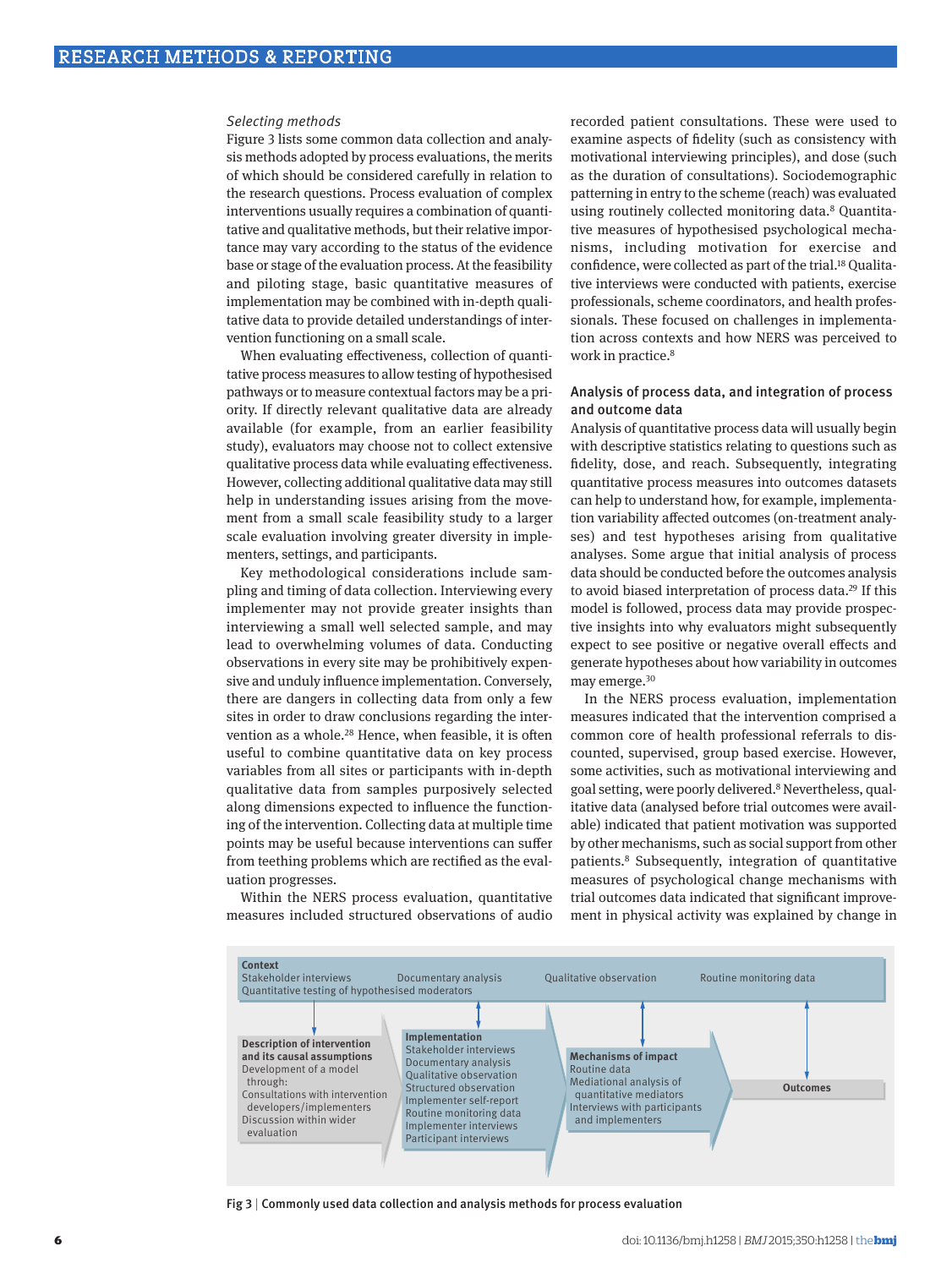#### Selecting methods

Figure [3](#page-5-0) lists some common data collection and analysis methods adopted by process evaluations, the merits of which should be considered carefully in relation to the research questions. Process evaluation of complex interventions usually requires a combination of quantitative and qualitative methods, but their relative importance may vary according to the status of the evidence base or stage of the evaluation process. At the feasibility and piloting stage, basic quantitative measures of implementation may be combined with in-depth qualitative data to provide detailed understandings of intervention functioning on a small scale.

When evaluating effectiveness, collection of quantitative process measures to allow testing of hypothesised pathways or to measure contextual factors may be a priority. If directly relevant qualitative data are already available (for example, from an earlier feasibility study), evaluators may choose not to collect extensive qualitative process data while evaluating effectiveness. However, collecting additional qualitative data may still help in understanding issues arising from the movement from a small scale feasibility study to a larger scale evaluation involving greater diversity in implementers, settings, and participants.

Key methodological considerations include sampling and timing of data collection. Interviewing every implementer may not provide greater insights than interviewing a small well selected sample, and may lead to overwhelming volumes of data. Conducting observations in every site may be prohibitively expensive and unduly influence implementation. Conversely, there are dangers in collecting data from only a few sites in order to draw conclusions regarding the intervention as a whole.<sup>28</sup> Hence, when feasible, it is often useful to combine quantitative data on key process variables from all sites or participants with in-depth qualitative data from samples purposively selected along dimensions expected to influence the functioning of the intervention. Collecting data at multiple time points may be useful because interventions can suffer from teething problems which are rectified as the evaluation progresses.

Within the NERS process evaluation, quantitative measures included structured observations of audio recorded patient consultations. These were used to examine aspects of fidelity (such as consistency with motivational interviewing principles), and dose (such as the duration of consultations). Sociodemographic patterning in entry to the scheme (reach) was evaluated using routinely collected monitoring data.8 Quantitative measures of hypothesised psychological mechanisms, including motivation for exercise and confidence, were collected as part of the trial.18 Qualitative interviews were conducted with patients, exercise professionals, scheme coordinators, and health professionals. These focused on challenges in implementation across contexts and how NERS was perceived to work in practice.<sup>8</sup>

## Analysis of process data, and integration of process and outcome data

Analysis of quantitative process data will usually begin with descriptive statistics relating to questions such as fidelity, dose, and reach. Subsequently, integrating quantitative process measures into outcomes datasets can help to understand how, for example, implementation variability affected outcomes (on-treatment analyses) and test hypotheses arising from qualitative analyses. Some argue that initial analysis of process data should be conducted before the outcomes analysis to avoid biased interpretation of process data.29 If this model is followed, process data may provide prospective insights into why evaluators might subsequently expect to see positive or negative overall effects and generate hypotheses about how variability in outcomes may emerge.30

In the NERS process evaluation, implementation measures indicated that the intervention comprised a common core of health professional referrals to discounted, supervised, group based exercise. However, some activities, such as motivational interviewing and goal setting, were poorly delivered.8 Nevertheless, qualitative data (analysed before trial outcomes were available) indicated that patient motivation was supported by other mechanisms, such as social support from other patients.8 Subsequently, integration of quantitative measures of psychological change mechanisms with trial outcomes data indicated that significant improvement in physical activity was explained by change in



<span id="page-5-0"></span>Fig 3 | Commonly used data collection and analysis methods for process evaluation